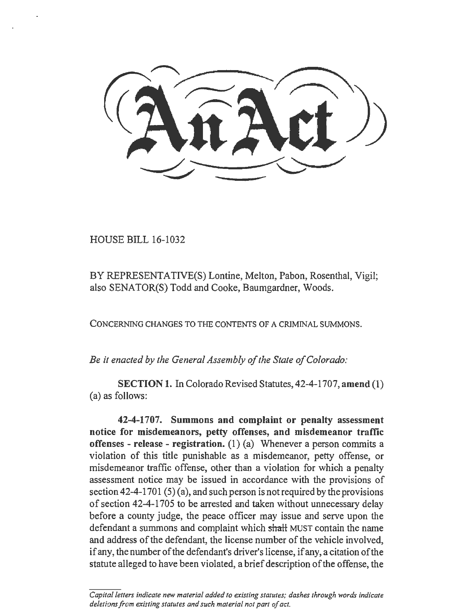HOUSE BILL 16-1032

BY REPRESENTATIVE(S) Lontine, Melton, Pabon, Rosenthal, Vigil; also SENATOR(S) Todd and Cooke, Baumgardner, Woods.

CONCERNING CHANGES TO THE CONTENTS OF A CRIMINAL SUMMONS.

*Be it enacted by the General Assembly of the State of Colorado:* 

SECTION 1. In Colorado Revised Statutes, 42-4-1707, amend (1) (a) as follows:

42-4-1707. Summons and complaint or penalty assessment notice for misdemeanors, petty offenses, and misdemeanor traffic offenses - release - registration.  $(1)$  (a) Whenever a person commits a violation of this title punishable as a misdemeanor, petty offense, or misdemeanor traffic offense, other than a violation for which a penalty assessment notice may be issued in accordance with the provisions of section  $42-4-1701(5)(a)$ , and such person is not required by the provisions of section 42-4-1705 to be arrested and taken without unnecessary delay before a county judge, the peace officer may issue and serve upon the defendant a summons and complaint which shall MUST contain the name and address of the defendant, the license number of the vehicle involved, if any, the number of the defendant's driver's license, if any, a citation of the statute alleged to have been violated, a brief description of the offense, the

Capital letters indicate new material added to existing statutes; dashes through words indicate *deletions from existing statutes and such material not part of act.*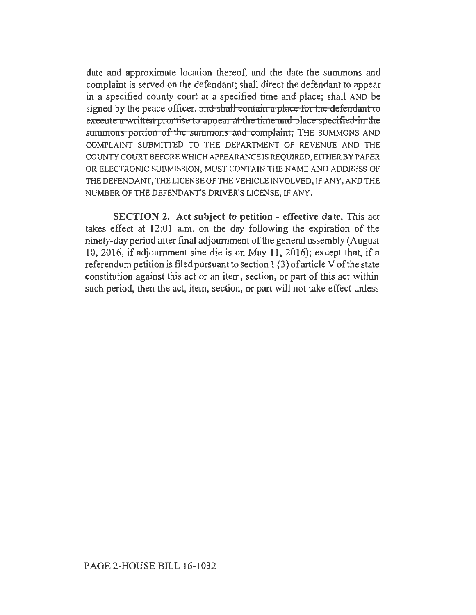date and approximate location thereof, and the date the summons and complaint is served on the defendant; shall direct the defendant to appear in a specified county court at a specified time and place; shaH AND be signed by the peace officer. and shall contain a place for the defendant to execute a written promise to appear at the time and place specified in the summons portion of the summons and complaint; THE SUMMONS AND COMPLAINT SUBMITTED TO THE DEPARTMENT OF REVENUE AND THE COUNTY COURT BEFORE WHICH APPEARANCE IS REQUIRED, EITHER BY PAPER OR ELECTRONIC SUBMISSION, MUST CONTAIN THE NAME AND ADDRESS OF THE DEFENDANT, THE LICENSE OF THE VEHICLE INVOLVED, IF ANY, AND THE NUMBER OF THE DEFENDANT'S DRlVER'S LICENSE, IF ANY.

SECTION 2. Act subject to petition- effective date. This act takes effect at 12:01 a.m. on the day following the expiration of the ninety-day period after final adjournment of the general assembly (August 10, 2016, if adjournment sine die is on May 11, 2016); except that, if a referendum petition is filed pursuant to section 1 (3) of article V of the state constitution against this act or an item, section, or part of this act within such period, then the act, item, section, or part will not take effect unless